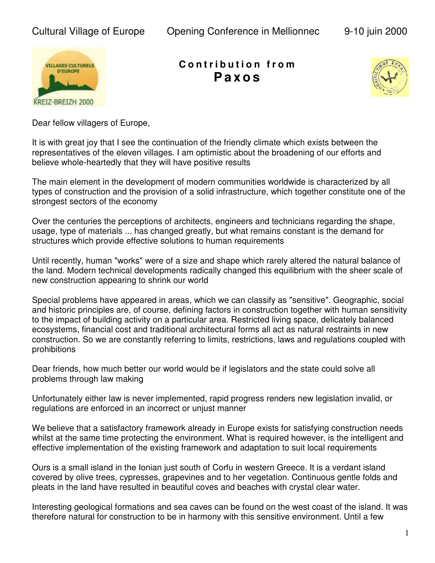Cultural Village of Europe Opening Conference in Mellionnec 9-10 juin 2000



**C o n t r i b u t i o n f r o m Pa x o s**



Dear fellow villagers of Europe,

It is with great joy that I see the continuation of the friendly climate which exists between the representatives of the eleven villages. I am optimistic about the broadening of our efforts and believe whole-heartedly that they will have positive results

The main element in the development of modern communities worldwide is characterized by all types of construction and the provision of a solid infrastructure, which together constitute one of the strongest sectors of the economy

Over the centuries the perceptions of architects, engineers and technicians regarding the shape, usage, type of materials ... has changed greatly, but what remains constant is the demand for structures which provide effective solutions to human requirements

Until recently, human "works" were of a size and shape which rarely altered the natural balance of the land. Modern technical developments radically changed this equilibrium with the sheer scale of new construction appearing to shrink our world

Special problems have appeared in areas, which we can classify as "sensitive". Geographic, social and historic principles are, of course, defining factors in construction together with human sensitivity to the impact of building activity on a particular area. Restricted living space, delicately balanced ecosystems, financial cost and traditional architectural forms all act as natural restraints in new construction. So we are constantly referring to limits, restrictions, laws and regulations coupled with prohibitions

Dear friends, how much better our world would be if legislators and the state could solve all problems through law making

Unfortunately either law is never implemented, rapid progress renders new legislation invalid, or regulations are enforced in an incorrect or unjust manner

We believe that a satisfactory framework already in Europe exists for satisfying construction needs whilst at the same time protecting the environment. What is required however, is the intelligent and effective implementation of the existing framework and adaptation to suit local requirements

Ours is a small island in the Ionian just south of Corfu in western Greece. It is a verdant island covered by olive trees, cypresses, grapevines and to her vegetation. Continuous gentle folds and pleats in the land have resulted in beautiful coves and beaches with crystal clear water.

Interesting geological formations and sea caves can be found on the west coast of the island. It was therefore natural for construction to be in harmony with this sensitive environment. Until a few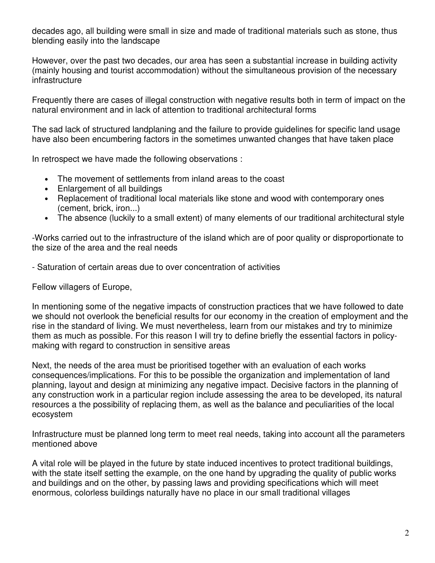decades ago, all building were small in size and made of traditional materials such as stone, thus blending easily into the landscape

However, over the past two decades, our area has seen a substantial increase in building activity (mainly housing and tourist accommodation) without the simultaneous provision of the necessary infrastructure

Frequently there are cases of illegal construction with negative results both in term of impact on the natural environment and in lack of attention to traditional architectural forms

The sad lack of structured landplaning and the failure to provide guidelines for specific land usage have also been encumbering factors in the sometimes unwanted changes that have taken place

In retrospect we have made the following observations :

- The movement of settlements from inland areas to the coast
- Enlargement of all buildings
- Replacement of traditional local materials like stone and wood with contemporary ones (cement, brick, iron...)
- The absence (luckily to a small extent) of many elements of our traditional architectural style

-Works carried out to the infrastructure of the island which are of poor quality or disproportionate to the size of the area and the real needs

- Saturation of certain areas due to over concentration of activities

Fellow villagers of Europe,

In mentioning some of the negative impacts of construction practices that we have followed to date we should not overlook the beneficial results for our economy in the creation of employment and the rise in the standard of living. We must nevertheless, learn from our mistakes and try to minimize them as much as possible. For this reason I will try to define briefly the essential factors in policymaking with regard to construction in sensitive areas

Next, the needs of the area must be prioritised together with an evaluation of each works consequences/implications. For this to be possible the organization and implementation of land planning, layout and design at minimizing any negative impact. Decisive factors in the planning of any construction work in a particular region include assessing the area to be developed, its natural resources a the possibility of replacing them, as well as the balance and peculiarities of the local ecosystem

Infrastructure must be planned long term to meet real needs, taking into account all the parameters mentioned above

A vital role will be played in the future by state induced incentives to protect traditional buildings, with the state itself setting the example, on the one hand by upgrading the quality of public works and buildings and on the other, by passing laws and providing specifications which will meet enormous, colorless buildings naturally have no place in our small traditional villages